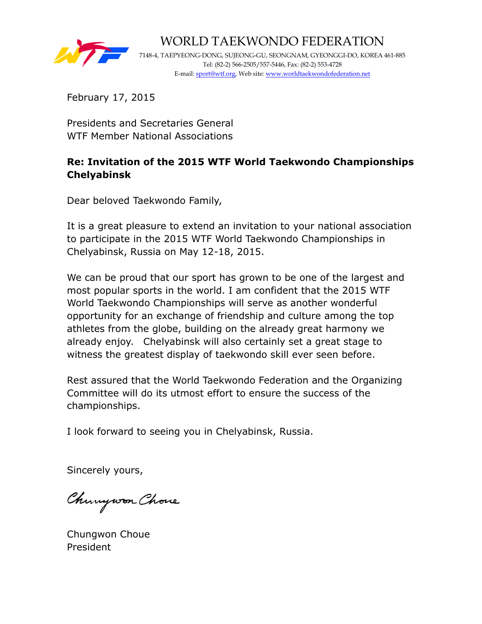

WORLD TAEKWONDO FEDERATION 7148-4, TAEPYEONG-DONG, SUJEONG-GU, SEONGNAM, GYEONGGI-DO, KOREA 461-885 Tel: (82-2) 566-2505/557-5446, Fax: (82-2) 553-4728 E-mail: sport@wtf.org, Web site: www.worldtaekwondofederation.net

February 17, 2015

Presidents and Secretaries General WTF Member National Associations

# **Re: Invitation of the 2015 WTF World Taekwondo Championships Chelyabinsk**

Dear beloved Taekwondo Family,

It is a great pleasure to extend an invitation to your national association to participate in the 2015 WTF World Taekwondo Championships in Chelyabinsk, Russia on May 12-18, 2015.

We can be proud that our sport has grown to be one of the largest and most popular sports in the world. I am confident that the 2015 WTF World Taekwondo Championships will serve as another wonderful opportunity for an exchange of friendship and culture among the top athletes from the globe, building on the already great harmony we already enjoy. Chelyabinsk will also certainly set a great stage to witness the greatest display of taekwondo skill ever seen before.

Rest assured that the World Taekwondo Federation and the Organizing Committee will do its utmost effort to ensure the success of the championships.

I look forward to seeing you in Chelyabinsk, Russia.

Sincerely yours,

Chungwon Chove

Chungwon Choue President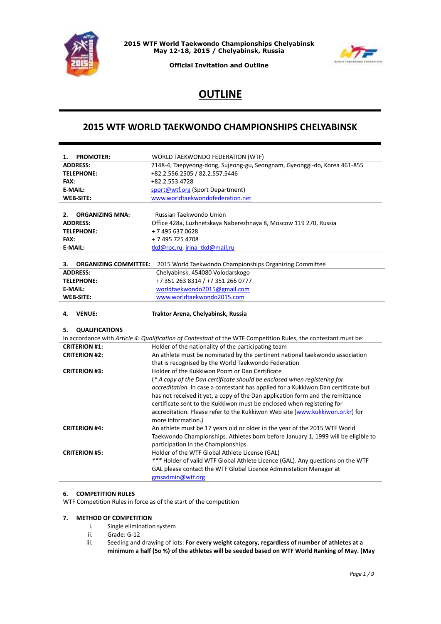



**Official Invitation and Outline**

# **OUTLINE**

## **2015 WTF WORLD TAEKWONDO CHAMPIONSHIPS CHELYABINSK**

| <b>PROMOTER:</b><br>1.             | WORLD TAEKWONDO FEDERATION (WTF)                                                                                                                        |
|------------------------------------|---------------------------------------------------------------------------------------------------------------------------------------------------------|
| <b>ADDRESS:</b>                    | 7148-4, Taepyeong-dong, Sujeong-gu, Seongnam, Gyeonggi-do, Korea 461-855                                                                                |
| <b>TELEPHONE:</b>                  | +82.2.556.2505 / 82.2.557.5446                                                                                                                          |
| FAX:                               | +82.2.553.4728                                                                                                                                          |
| <b>E-MAIL:</b>                     | sport@wtf.org (Sport Department)                                                                                                                        |
| <b>WEB-SITE:</b>                   | www.worldtaekwondofederation.net                                                                                                                        |
|                                    |                                                                                                                                                         |
| <b>ORGANIZING MNA:</b><br>2.       | Russian Taekwondo Union                                                                                                                                 |
| <b>ADDRESS:</b>                    | Office 428a, Luzhnetskaya Naberezhnaya 8, Moscow 119 270, Russia                                                                                        |
| <b>TELEPHONE:</b>                  | +7 495 637 0628                                                                                                                                         |
| FAX:                               | + 7 495 725 4708                                                                                                                                        |
| E-MAIL:                            | tkd@roc.ru, irina tkd@mail.ru                                                                                                                           |
|                                    |                                                                                                                                                         |
| <b>ORGANIZING COMMITTEE:</b><br>3. | 2015 World Taekwondo Championships Organizing Committee                                                                                                 |
| <b>ADDRESS:</b>                    | Chelyabinsk, 454080 Volodarskogo                                                                                                                        |
| <b>TELEPHONE:</b>                  | +7 351 263 8314 / +7 351 266 0777                                                                                                                       |
| E-MAIL:                            | worldtaekwondo2015@gmail.com                                                                                                                            |
| <b>WEB-SITE:</b>                   | www.worldtaekwondo2015.com                                                                                                                              |
|                                    |                                                                                                                                                         |
| <b>VENUE:</b><br>4.                | Traktor Arena, Chelyabinsk, Russia                                                                                                                      |
|                                    |                                                                                                                                                         |
| <b>QUALIFICATIONS</b><br>5.        |                                                                                                                                                         |
| <b>CRITERION #1:</b>               | In accordance with Article 4: Qualification of Contestant of the WTF Competition Rules, the contestant must be:                                         |
| <b>CRITERION #2:</b>               | Holder of the nationality of the participating team                                                                                                     |
|                                    | An athlete must be nominated by the pertinent national taekwondo association                                                                            |
| <b>CRITERION #3:</b>               | that is recognised by the World Taekwondo Federation<br>Holder of the Kukkiwon Poom or Dan Certificate                                                  |
|                                    | (* A copy of the Dan certificate should be enclosed when registering for                                                                                |
|                                    | accreditation. In case a contestant has applied for a Kukkiwon Dan certificate but                                                                      |
|                                    | has not received it yet, a copy of the Dan application form and the remittance                                                                          |
|                                    |                                                                                                                                                         |
|                                    | certificate sent to the Kukkiwon must be enclosed when registering for<br>accreditation. Please refer to the Kukkiwon Web site (www.kukkiwon.or.kr) for |
|                                    | more information.)                                                                                                                                      |
| <b>CRITERION #4:</b>               | An athlete must be 17 years old or older in the year of the 2015 WTF World                                                                              |
|                                    | Taekwondo Championships. Athletes born before January 1, 1999 will be eligible to                                                                       |
|                                    | participation in the Championships.                                                                                                                     |
| <b>CRITERION #5:</b>               | Holder of the WTF Global Athlete License (GAL)                                                                                                          |
|                                    | *** Holder of valid WTF Global Athlete Licence (GAL). Any questions on the WTF                                                                          |
|                                    | GAL please contact the WTF Global Licence Administation Manager at<br>gmsadmin@wtf.org                                                                  |

## **6. COMPETITION RULES**

WTF Competition Rules in force as of the start of the competition

#### **7. METHOD OF COMPETITION**

- i. Single elimination system
- ii. Grade: G-12
- iii. Seeding and drawing of lots: **For every weight category, regardless of number of athletes at a minimum a half (5o %) of the athletes will be seeded based on WTF World Ranking of May. (May**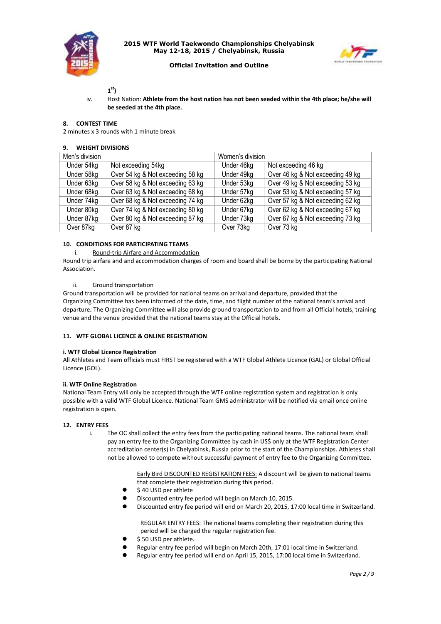



## **Official Invitation and Outline**

## **1 st)**

iv. Host Nation: **Athlete from the host nation has not been seeded within the 4th place; he/she will be seeded at the 4th place.** 

## **8. CONTEST TIME**

2 minutes x 3 rounds with 1 minute break

## **9. WEIGHT DIVISIONS**

| Men's division |                                  | Women's division |                                  |
|----------------|----------------------------------|------------------|----------------------------------|
| Under 54kg     | Not exceeding 54kg               | Under 46kg       | Not exceeding 46 kg              |
| Under 58kg     | Over 54 kg & Not exceeding 58 kg | Under 49kg       | Over 46 kg & Not exceeding 49 kg |
| Under 63kg     | Over 58 kg & Not exceeding 63 kg | Under 53kg       | Over 49 kg & Not exceeding 53 kg |
| Under 68kg     | Over 63 kg & Not exceeding 68 kg | Under 57kg       | Over 53 kg & Not exceeding 57 kg |
| Under 74kg     | Over 68 kg & Not exceeding 74 kg | Under 62kg       | Over 57 kg & Not exceeding 62 kg |
| Under 80kg     | Over 74 kg & Not exceeding 80 kg | Under 67kg       | Over 62 kg & Not exceeding 67 kg |
| Under 87kg     | Over 80 kg & Not exceeding 87 kg | Under 73kg       | Over 67 kg & Not exceeding 73 kg |
| Over 87kg      | Over 87 kg                       | Over 73kg        | Over 73 kg                       |

## **10. CONDITIONS FOR PARTICIPATING TEAMS**

i. Round-trip Airfare and Accommodation

Round trip airfare and and accommodation charges of room and board shall be borne by the participating National Association.

#### ii. Ground transportation

Ground transportation will be provided for national teams on arrival and departure, provided that the Organizing Committee has been informed of the date, time, and flight number of the national team's arrival and departure**.** The Organizing Committee will also provide ground transportation to and from all Official hotels, training venue and the venue provided that the national teams stay at the Official hotels.

#### **11. WTF GLOBAL LICENCE & ONLINE REGISTRATION**

#### **i. WTF Global Licence Registration**

All Athletes and Team officials must FIRST be registered with a WTF Global Athlete Licence (GAL) or Global Official Licence (GOL).

#### **ii. WTF Online Registration**

National Team Entry will only be accepted through the WTF online registration system and registration is only possible with a valid WTF Global Licence. National Team GMS administrator will be notified via email once online registration is open.

#### **12. ENTRY FEES**

i. The OC shall collect the entry fees from the participating national teams. The national team shall pay an entry fee to the Organizing Committee by cash in US\$ only at the WTF Registration Center accreditation center(s) in Chelyabinsk, Russia prior to the start of the Championships. Athletes shall not be allowed to compete without successful payment of entry fee to the Organizing Committee.

> Early Bird DISCOUNTED REGISTRATION FEES: A discount will be given to national teams that complete their registration during this period.

- $\bullet$  \$40 USD per athlete
- Discounted entry fee period will begin on March 10, 2015.
- Discounted entry fee period will end on March 20, 2015, 17:00 local time in Switzerland.

REGULAR ENTRY FEES: The national teams completing their registration during this period will be charged the regular registration fee.

- \$ 50 USD per athlete.
- Regular entry fee period will begin on March 20th, 17:01 local time in Switzerland.
- Regular entry fee period will end on April 15, 2015, 17:00 local time in Switzerland.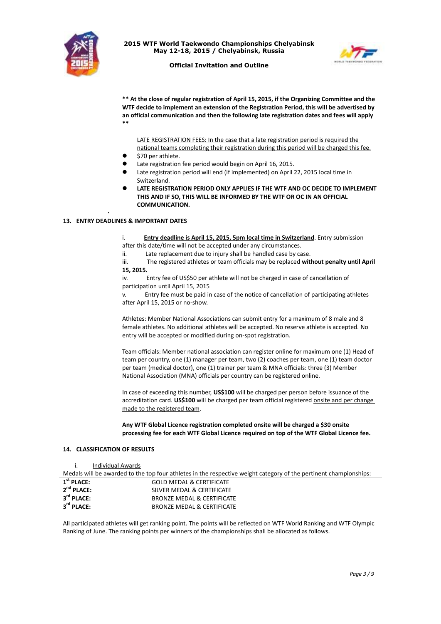



#### **Official Invitation and Outline**

**\*\* At the close of regular registration of April 15, 2015, if the Organizing Committee and the WTF decide to implement an extension of the Registration Period, this will be advertised by an official communication and then the following late registration dates and fees will apply \*\***

LATE REGISTRATION FEES: In the case that a late registration period is required the national teams completing their registration during this period will be charged this fee.

- \$70 per athlete.
- Late registration fee period would begin on April 16, 2015.
- Late registration period will end (if implemented) on April 22, 2015 local time in Switzerland.
- **LATE REGISTRATION PERIOD ONLY APPLIES IF THE WTF AND OC DECIDE TO IMPLEMENT THIS AND IF SO, THIS WILL BE INFORMED BY THE WTF OR OC IN AN OFFICIAL COMMUNICATION.**

## **13. ENTRY DEADLINES & IMPORTANT DATES**

.

i. **Entry deadline is April 15, 2015, 5pm local time in Switzerland**. Entry submission after this date/time will not be accepted under any circumstances.

ii. Late replacement due to injury shall be handled case by case.

- iii. The registered athletes or team officials may be replaced **without penalty until April**
- **15, 2015.**

iv. Entry fee of US\$50 per athlete will not be charged in case of cancellation of participation until April 15, 2015

v. Entry fee must be paid in case of the notice of cancellation of participating athletes after April 15, 2015 or no-show.

Athletes: Member National Associations can submit entry for a maximum of 8 male and 8 female athletes. No additional athletes will be accepted. No reserve athlete is accepted. No entry will be accepted or modified during on-spot registration.

Team officials: Member national association can register online for maximum one (1) Head of team per country, one (1) manager per team, two (2) coaches per team, one (1) team doctor per team (medical doctor), one (1) trainer per team & MNA officials: three (3) Member National Association (MNA) officials per country can be registered online.

In case of exceeding this number, **US\$100** will be charged per person before issuance of the accreditation card. US\$100 will be charged per team official registered onsite and per change made to the registered team.

**Any WTF Global Licence registration completed onsite will be charged a \$30 onsite processing fee for each WTF Global Licence required on top of the WTF Global Licence fee.**

#### **14. CLASSIFICATION OF RESULTS**

| <b>Individual Awards</b> |  |
|--------------------------|--|

Medals will be awarded to the top four athletes in the respective weight category of the pertinent championships:

| $1st$ PLACE:           | <b>GOLD MEDAL &amp; CERTIFICATE</b> |
|------------------------|-------------------------------------|
| $2nd$ PLACE:           | SILVER MEDAL & CERTIFICATE          |
| $3^{\text{rd}}$ PLACE: | BRONZE MEDAL & CERTIFICATE          |
| $3^{\text{rd}}$ PLACE: | BRONZE MEDAL & CERTIFICATE          |

All participated athletes will get ranking point. The points will be reflected on WTF World Ranking and WTF Olympic Ranking of June. The ranking points per winners of the championships shall be allocated as follows.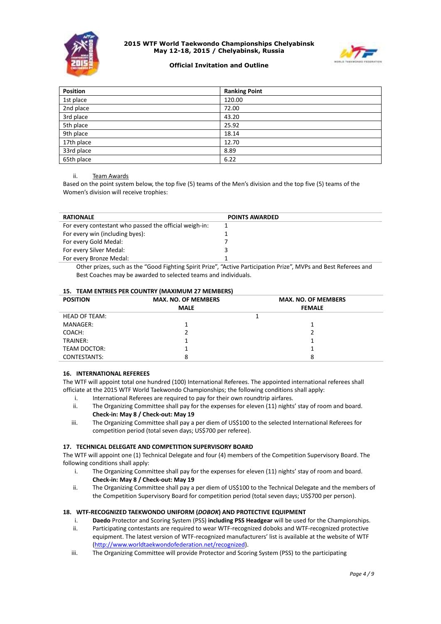



## **Official Invitation and Outline**

| Position   | <b>Ranking Point</b> |
|------------|----------------------|
| 1st place  | 120.00               |
| 2nd place  | 72.00                |
| 3rd place  | 43.20                |
| 5th place  | 25.92                |
| 9th place  | 18.14                |
| 17th place | 12.70                |
| 33rd place | 8.89                 |
| 65th place | 6.22                 |

#### ii. Team Awards

Based on the point system below, the top five (5) teams of the Men's division and the top five (5) teams of the Women's division will receive trophies:

| <b>RATIONALE</b>                                       | <b>POINTS AWARDED</b> |
|--------------------------------------------------------|-----------------------|
| For every contestant who passed the official weigh-in: |                       |
| For every win (including byes):                        |                       |
| For every Gold Medal:                                  |                       |
| For every Silver Medal:                                |                       |
| For every Bronze Medal:                                |                       |

Other prizes, such as the "Good Fighting Spirit Prize", "Active Participation Prize", MVPs and Best Referees and Best Coaches may be awarded to selected teams and individuals.

| <b>POSITION</b>      | <b>MAX. NO. OF MEMBERS</b> | <b>MAX. NO. OF MEMBERS</b> |  |
|----------------------|----------------------------|----------------------------|--|
|                      | <b>MALE</b>                | <b>FEMALE</b>              |  |
| <b>HEAD OF TEAM:</b> |                            |                            |  |
| MANAGER:             |                            |                            |  |
| COACH:               |                            |                            |  |
| TRAINER:             |                            |                            |  |
| TEAM DOCTOR:         |                            |                            |  |
| CONTESTANTS:         |                            | 8                          |  |

#### **15. TEAM ENTRIES PER COUNTRY (MAXIMUM 27 MEMBERS)**

#### **16. INTERNATIONAL REFEREES**

The WTF will appoint total one hundred (100) International Referees. The appointed international referees shall officiate at the 2015 WTF World Taekwondo Championships; the following conditions shall apply:

- i. International Referees are required to pay for their own roundtrip airfares.
- ii. The Organizing Committee shall pay for the expenses for eleven (11) nights' stay of room and board. **Check-in: May 8 / Check-out: May 19**
- iii. The Organizing Committee shall pay a per diem of US\$100 to the selected International Referees for competition period (total seven days; US\$700 per referee).

## **17. TECHNICAL DELEGATE AND COMPETITION SUPERVISORY BOARD**

The WTF will appoint one (1) Technical Delegate and four (4) members of the Competition Supervisory Board. The following conditions shall apply:

- i. The Organizing Committee shall pay for the expenses for eleven (11) nights' stay of room and board. **Check-in: May 8 / Check-out: May 19**
- ii. The Organizing Committee shall pay a per diem of US\$100 to the Technical Delegate and the members of the Competition Supervisory Board for competition period (total seven days; US\$700 per person).

#### **18. WTF-RECOGNIZED TAEKWONDO UNIFORM (***DOBOK***) AND PROTECTIVE EQUIPMENT**

- i. **Daedo** Protector and Scoring System (PSS) **including PSS Headgear** will be used for the Championships.
- ii. Participating contestants are required to wear WTF-recognized doboks and WTF-recognized protective equipment. The latest version of WTF-recognized manufacturers' list is available at the website of WTF [\(http://www.worldtaekwondofederation.net/recognized\)](http://www.worldtaekwondofederation.net/recognized).
- iii. The Organizing Committee will provide Protector and Scoring System (PSS) to the participating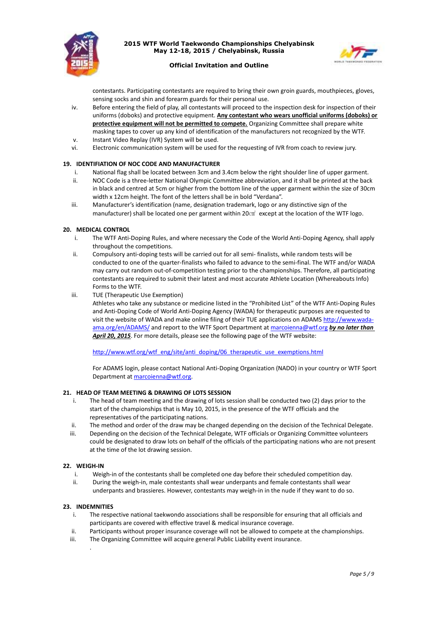



## **Official Invitation and Outline**

contestants. Participating contestants are required to bring their own groin guards, mouthpieces, gloves, sensing socks and shin and forearm guards for their personal use.

- iv. Before entering the field of play, all contestants will proceed to the inspection desk for inspection of their uniforms (doboks) and protective equipment. **Any contestant who wears unofficial uniforms (doboks) or protective equipment will not be permitted to compete.** Organizing Committee shall prepare white masking tapes to cover up any kind of identification of the manufacturers not recognized by the WTF.
- v. Instant Video Replay (IVR) System will be used.
- vi. Electronic communication system will be used for the requesting of IVR from coach to review jury.

## **19. IDENTIFIATION OF NOC CODE AND MANUFACTURER**

- i. National flag shall be located between 3cm and 3.4cm below the right shoulder line of upper garment.
- ii. NOC Code is a three-letter National Olympic Committee abbreviation, and it shall be printed at the back in black and centred at 5cm or higher from the bottom line of the upper garment within the size of 30cm width x 12cm height. The font of the letters shall be in bold "Verdana".
- iii. Manufacturer's identification (name, designation trademark, logo or any distinctive sign of the manufacturer) shall be located one per garment within 20 $\text{cm}^2$  except at the location of the WTF logo.

#### **20. MEDICAL CONTROL**

- i. The WTF Anti-Doping Rules, and where necessary the Code of the World Anti-Doping Agency, shall apply throughout the competitions.
- ii. Compulsory anti-doping tests will be carried out for all semi- finalists, while random tests will be conducted to one of the quarter-finalists who failed to advance to the semi-final. The WTF and/or WADA may carry out random out-of-competition testing prior to the championships. Therefore, all participating contestants are required to submit their latest and most accurate Athlete Location (Whereabouts Info) Forms to the WTF.
- iii. TUE (Therapeutic Use Exemption)

Athletes who take any substance or medicine listed in the "Prohibited List" of the WTF Anti-Doping Rules and Anti-Doping Code of World Anti-Doping Agency (WADA) for therapeutic purposes are requested to visit the website of WADA and make online filing of their TUE applications on ADAM[S http://www.wada](http://www.wada-ama.org/en/ADAMS/)[ama.org/en/ADAMS/](http://www.wada-ama.org/en/ADAMS/) and report to the WTF Sport Department a[t marcoienna@wtf.org](mailto:marcoienna@wtf.org) *by no later than April 20, 2015*. For more details, please see the following page of the WTF website:

[http://www.wtf.org/wtf\\_eng/site/anti\\_doping/06\\_therapeutic\\_use\\_exemptions.html](http://www.wtf.org/wtf_eng/site/anti_doping/06_therapeutic_use_exemptions.html)

For ADAMS login, please contact National Anti-Doping Organization (NADO) in your country or WTF Sport Department at [marcoienna@wtf.org.](mailto:marcoienna@wtf.org)

## **21. HEAD OF TEAM MEETING & DRAWING OF LOTS SESSION**

- i. The head of team meeting and the drawing of lots session shall be conducted two (2) days prior to the start of the championships that is May 10, 2015, in the presence of the WTF officials and the representatives of the participating nations.
- ii. The method and order of the draw may be changed depending on the decision of the Technical Delegate.
- iii. Depending on the decision of the Technical Delegate, WTF officials or Organizing Committee volunteers could be designated to draw lots on behalf of the officials of the participating nations who are not present at the time of the lot drawing session.

## **22. WEIGH-IN**

- i. Weigh-in of the contestants shall be completed one day before their scheduled competition day.
- ii. During the weigh-in, male contestants shall wear underpants and female contestants shall wear underpants and brassieres. However, contestants may weigh-in in the nude if they want to do so.

## **23. INDEMNITIES**

.

- i. The respective national taekwondo associations shall be responsible for ensuring that all officials and participants are covered with effective travel & medical insurance coverage.
- ii. Participants without proper insurance coverage will not be allowed to compete at the championships.
- iii. The Organizing Committee will acquire general Public Liability event insurance.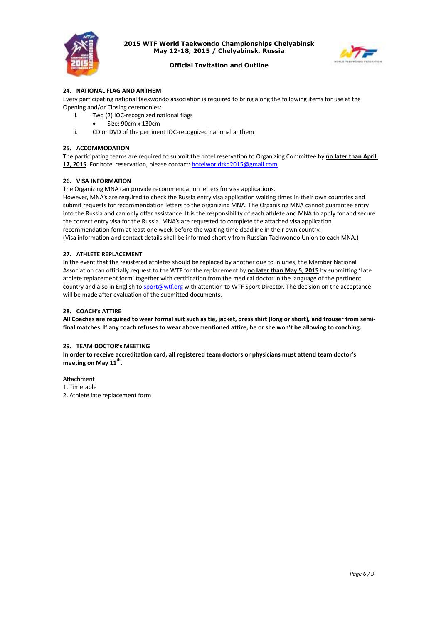



#### **Official Invitation and Outline**

#### **24. NATIONAL FLAG AND ANTHEM**

Every participating national taekwondo association is required to bring along the following items for use at the Opening and/or Closing ceremonies:

- i. Two (2) IOC-recognized national flags
	- Size: 90cm x 130cm
- ii. CD or DVD of the pertinent IOC-recognized national anthem

#### **25. ACCOMMODATION**

The participating teams are required to submit the hotel reservation to Organizing Committee by **no later than April 17, 2015**. For hotel reservation, please contact: [hotelworldtkd2015@gmail.com](mailto:hotelworldtkd2015@gmail.com)

#### **26. VISA INFORMATION**

The Organizing MNA can provide recommendation letters for visa applications.

However, MNA's are required to check the Russia entry visa application waiting times in their own countries and submit requests for recommendation letters to the organizing MNA. The Organising MNA cannot guarantee entry into the Russia and can only offer assistance. It is the responsibility of each athlete and MNA to apply for and secure the correct entry visa for the Russia. MNA's are requested to complete the attached visa application recommendation form at least one week before the waiting time deadline in their own country. (Visa information and contact details shall be informed shortly from Russian Taekwondo Union to each MNA.)

#### **27. ATHLETE REPLACEMENT**

In the event that the registered athletes should be replaced by another due to injuries, the Member National Association can officially request to the WTF for the replacement by **no later than May 5, 2015** by submitting 'Late athlete replacement form' together with certification from the medical doctor in the language of the pertinent country and also in English to *sport@wtf.org* with attention to WTF Sport Director. The decision on the acceptance will be made after evaluation of the submitted documents.

#### **28. COACH's ATTIRE**

**All Coaches are required to wear formal suit such as tie, jacket, dress shirt (long or short), and trouser from semifinal matches. If any coach refuses to wear abovementioned attire, he or she won't be allowing to coaching.**

#### **29. TEAM DOCTOR's MEETING**

**In order to receive accreditation card, all registered team doctors or physicians must attend team doctor's meeting on May 11th .**

Attachment

- 1. Timetable
- 2. Athlete late replacement form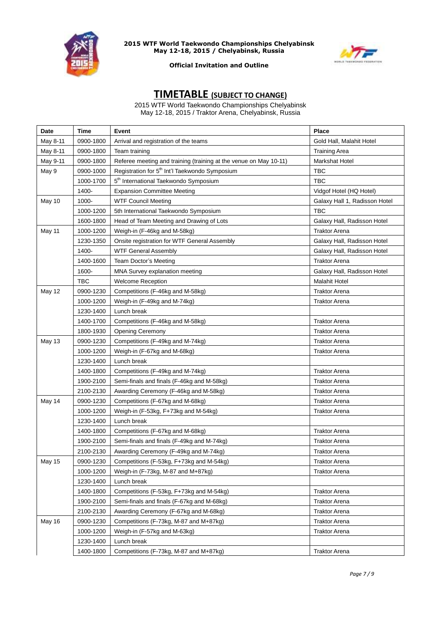



## **Official Invitation and Outline**

# **TIMETABLE (SUBJECT TO CHANGE)**

2015 WTF World Taekwondo Championships Chelyabinsk May 12-18, 2015 / Traktor Arena, Chelyabinsk, Russia

| <b>Date</b>   | <b>Time</b> | Event                                                             | <b>Place</b>                  |
|---------------|-------------|-------------------------------------------------------------------|-------------------------------|
| May 8-11      | 0900-1800   | Arrival and registration of the teams                             | Gold Hall, Malahit Hotel      |
| May 8-11      | 0900-1800   | Team training                                                     | <b>Training Area</b>          |
| May 9-11      | 0900-1800   | Referee meeting and training (training at the venue on May 10-11) | <b>Markshat Hotel</b>         |
| May 9         | 0900-1000   | Registration for 5 <sup>th</sup> Int'l Taekwondo Symposium        | <b>TBC</b>                    |
|               | 1000-1700   | 5 <sup>th</sup> International Taekwondo Symposium                 | <b>TBC</b>                    |
|               | 1400-       | <b>Expansion Committee Meeting</b>                                | Vidgof Hotel (HQ Hotel)       |
| May 10        | 1000-       | <b>WTF Council Meeting</b>                                        | Galaxy Hall 1, Radisson Hotel |
|               | 1000-1200   | 5th International Taekwondo Symposium                             | <b>TBC</b>                    |
|               | 1600-1800   | Head of Team Meeting and Drawing of Lots                          | Galaxy Hall, Radisson Hotel   |
| May 11        | 1000-1200   | Weigh-in (F-46kg and M-58kg)                                      | <b>Traktor Arena</b>          |
|               | 1230-1350   | Onsite registration for WTF General Assembly                      | Galaxy Hall, Radisson Hotel   |
|               | 1400-       | <b>WTF General Assembly</b>                                       | Galaxy Hall, Radisson Hotel   |
|               | 1400-1600   | <b>Team Doctor's Meeting</b>                                      | <b>Traktor Arena</b>          |
|               | 1600-       | MNA Survey explanation meeting                                    | Galaxy Hall, Radisson Hotel   |
|               | <b>TBC</b>  | <b>Welcome Reception</b>                                          | <b>Malahit Hotel</b>          |
| May 12        | 0900-1230   | Competitions (F-46kg and M-58kg)                                  | <b>Traktor Arena</b>          |
|               | 1000-1200   | Weigh-in (F-49kg and M-74kg)                                      | <b>Traktor Arena</b>          |
|               | 1230-1400   | Lunch break                                                       |                               |
|               | 1400-1700   | Competitions (F-46kg and M-58kg)                                  | Traktor Arena                 |
|               | 1800-1930   | <b>Opening Ceremony</b>                                           | <b>Traktor Arena</b>          |
| May 13        | 0900-1230   | Competitions (F-49kg and M-74kg)                                  | <b>Traktor Arena</b>          |
|               | 1000-1200   | Weigh-in (F-67kg and M-68kg)                                      | <b>Traktor Arena</b>          |
|               | 1230-1400   | Lunch break                                                       |                               |
|               | 1400-1800   | Competitions (F-49kg and M-74kg)                                  | <b>Traktor Arena</b>          |
|               | 1900-2100   | Semi-finals and finals (F-46kg and M-58kg)                        | Traktor Arena                 |
|               | 2100-2130   | Awarding Ceremony (F-46kg and M-58kg)                             | <b>Traktor Arena</b>          |
| May 14        | 0900-1230   | Competitions (F-67kg and M-68kg)                                  | Traktor Arena                 |
|               | 1000-1200   | Weigh-in (F-53kg, F+73kg and M-54kg)                              | <b>Traktor Arena</b>          |
|               | 1230-1400   | Lunch break                                                       |                               |
|               | 1400-1800   | Competitions (F-67kg and M-68kg)                                  | <b>Traktor Arena</b>          |
|               | 1900-2100   | Semi-finals and finals (F-49kg and M-74kg)                        | Traktor Arena                 |
|               | 2100-2130   | Awarding Ceremony (F-49kg and M-74kg)                             | <b>Traktor Arena</b>          |
| <b>May 15</b> | 0900-1230   | Competitions (F-53kg, F+73kg and M-54kg)                          | <b>Traktor Arena</b>          |
|               | 1000-1200   | Weigh-in (F-73kg, M-87 and M+87kg)                                | <b>Traktor Arena</b>          |
|               | 1230-1400   | Lunch break                                                       |                               |
|               | 1400-1800   | Competitions (F-53kg, F+73kg and M-54kg)                          | <b>Traktor Arena</b>          |
|               | 1900-2100   | Semi-finals and finals (F-67kg and M-68kg)                        | <b>Traktor Arena</b>          |
|               | 2100-2130   | Awarding Ceremony (F-67kg and M-68kg)                             | <b>Traktor Arena</b>          |
| May 16        | 0900-1230   | Competitions (F-73kg, M-87 and M+87kg)                            | <b>Traktor Arena</b>          |
|               | 1000-1200   | Weigh-in (F-57kg and M-63kg)                                      | <b>Traktor Arena</b>          |
|               | 1230-1400   | Lunch break                                                       |                               |
|               | 1400-1800   | Competitions (F-73kg, M-87 and M+87kg)                            | <b>Traktor Arena</b>          |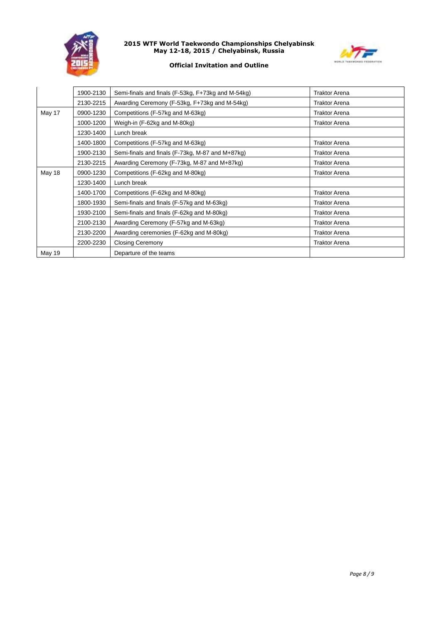



## **Official Invitation and Outline**

|        | 1900-2130 | Semi-finals and finals (F-53kg, F+73kg and M-54kg) | <b>Traktor Arena</b> |
|--------|-----------|----------------------------------------------------|----------------------|
|        | 2130-2215 | Awarding Ceremony (F-53kg, F+73kg and M-54kg)      | <b>Traktor Arena</b> |
| May 17 | 0900-1230 | Competitions (F-57kg and M-63kg)                   | <b>Traktor Arena</b> |
|        | 1000-1200 | Weigh-in (F-62kg and M-80kg)                       | <b>Traktor Arena</b> |
|        | 1230-1400 | Lunch break                                        |                      |
|        | 1400-1800 | Competitions (F-57kg and M-63kg)                   | <b>Traktor Arena</b> |
|        | 1900-2130 | Semi-finals and finals (F-73kg, M-87 and M+87kg)   | <b>Traktor Arena</b> |
|        | 2130-2215 | Awarding Ceremony (F-73kg, M-87 and M+87kg)        | <b>Traktor Arena</b> |
| May 18 | 0900-1230 | Competitions (F-62kg and M-80kg)                   | <b>Traktor Arena</b> |
|        | 1230-1400 | Lunch break                                        |                      |
|        | 1400-1700 | Competitions (F-62kg and M-80kg)                   | <b>Traktor Arena</b> |
|        | 1800-1930 | Semi-finals and finals (F-57kg and M-63kg)         | <b>Traktor Arena</b> |
|        | 1930-2100 | Semi-finals and finals (F-62kg and M-80kg)         | <b>Traktor Arena</b> |
|        | 2100-2130 | Awarding Ceremony (F-57kg and M-63kg)              | <b>Traktor Arena</b> |
|        | 2130-2200 | Awarding ceremonies (F-62kg and M-80kg)            | <b>Traktor Arena</b> |
|        | 2200-2230 | <b>Closing Ceremony</b>                            | <b>Traktor Arena</b> |
| May 19 |           | Departure of the teams                             |                      |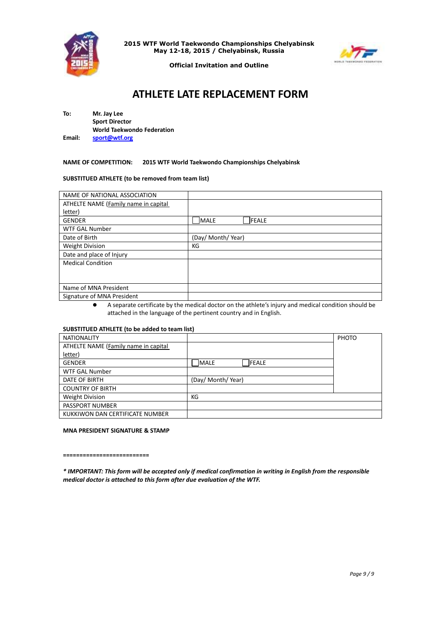



**Official Invitation and Outline**

# **ATHLETE LATE REPLACEMENT FORM**

**To: Mr. Jay Lee Sport Director World Taekwondo Federation Email: [sport@wtf.org](mailto:sport@wtf.org)**

#### **NAME OF COMPETITION: 2015 WTF World Taekwondo Championships Chelyabinsk**

#### **SUBSTITUED ATHLETE (to be removed from team list)**

| NAME OF NATIONAL ASSOCIATION         |                              |
|--------------------------------------|------------------------------|
| ATHELTE NAME (Family name in capital |                              |
| letter)                              |                              |
| <b>GENDER</b>                        | <b>MALE</b><br><b>IFEALE</b> |
| <b>WTF GAL Number</b>                |                              |
| Date of Birth                        | (Day/ Month/Year)            |
| <b>Weight Division</b>               | КG                           |
| Date and place of Injury             |                              |
| <b>Medical Condition</b>             |                              |
|                                      |                              |
|                                      |                              |
| Name of MNA President                |                              |
| Signature of MNA President           |                              |

 A separate certificate by the medical doctor on the athlete's injury and medical condition should be attached in the language of the pertinent country and in English.

## **SUBSTITUED ATHLETE (to be added to team list)**

| <b>NATIONALITY</b>                   |                             | PHOTO |
|--------------------------------------|-----------------------------|-------|
| ATHELTE NAME (Family name in capital |                             |       |
| <u>letter</u> )                      |                             |       |
| <b>GENDER</b>                        | <b>MALE</b><br><b>FEALE</b> |       |
| WTF GAL Number                       |                             |       |
| DATE OF BIRTH                        | (Day/ Month/ Year)          |       |
| <b>COUNTRY OF BIRTH</b>              |                             |       |
| <b>Weight Division</b>               | КG                          |       |
| <b>PASSPORT NUMBER</b>               |                             |       |
| KUKKIWON DAN CERTIFICATE NUMBER      |                             |       |

#### **MNA PRESIDENT SIGNATURE & STAMP**

**==========================**

*\* IMPORTANT: This form will be accepted only if medical confirmation in writing in English from the responsible medical doctor is attached to this form after due evaluation of the WTF.*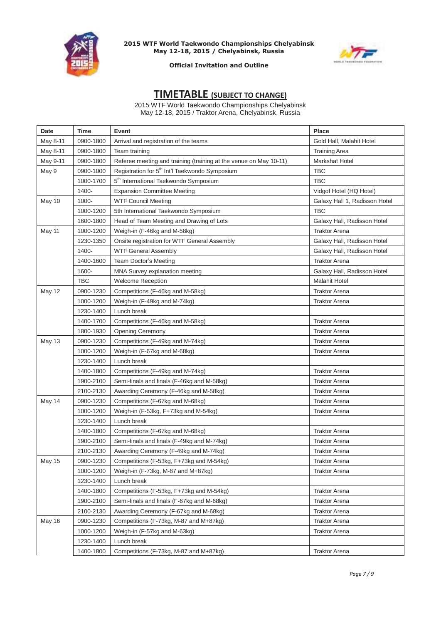



## **Official Invitation and Outline**

# **TIMETABLE (SUBJECT TO CHANGE)**

2015 WTF World Taekwondo Championships Chelyabinsk May 12-18, 2015 / Traktor Arena, Chelyabinsk, Russia

| Date     | Time       | Event                                                             | <b>Place</b>                  |
|----------|------------|-------------------------------------------------------------------|-------------------------------|
| May 8-11 | 0900-1800  | Arrival and registration of the teams                             | Gold Hall, Malahit Hotel      |
| May 8-11 | 0900-1800  | Team training                                                     | <b>Training Area</b>          |
| May 9-11 | 0900-1800  | Referee meeting and training (training at the venue on May 10-11) | Markshat Hotel                |
| May 9    | 0900-1000  | Registration for 5 <sup>th</sup> Int'l Taekwondo Symposium        | <b>TBC</b>                    |
|          | 1000-1700  | 5 <sup>th</sup> International Taekwondo Symposium                 | <b>TBC</b>                    |
|          | 1400-      | <b>Expansion Committee Meeting</b>                                | Vidgof Hotel (HQ Hotel)       |
| May 10   | 1000-      | <b>WTF Council Meeting</b>                                        | Galaxy Hall 1, Radisson Hotel |
|          | 1000-1200  | 5th International Taekwondo Symposium                             | <b>TBC</b>                    |
|          | 1600-1800  | Head of Team Meeting and Drawing of Lots                          | Galaxy Hall, Radisson Hotel   |
| May 11   | 1000-1200  | Weigh-in (F-46kg and M-58kg)                                      | <b>Traktor Arena</b>          |
|          | 1230-1350  | Onsite registration for WTF General Assembly                      | Galaxy Hall, Radisson Hotel   |
|          | 1400-      | <b>WTF General Assembly</b>                                       | Galaxy Hall, Radisson Hotel   |
|          | 1400-1600  | <b>Team Doctor's Meeting</b>                                      | <b>Traktor Arena</b>          |
|          | 1600-      | MNA Survey explanation meeting                                    | Galaxy Hall, Radisson Hotel   |
|          | <b>TBC</b> | <b>Welcome Reception</b>                                          | <b>Malahit Hotel</b>          |
| May 12   | 0900-1230  | Competitions (F-46kg and M-58kg)                                  | <b>Traktor Arena</b>          |
|          | 1000-1200  | Weigh-in (F-49kg and M-74kg)                                      | <b>Traktor Arena</b>          |
|          | 1230-1400  | Lunch break                                                       |                               |
|          | 1400-1700  | Competitions (F-46kg and M-58kg)                                  | <b>Traktor Arena</b>          |
|          | 1800-1930  | <b>Opening Ceremony</b>                                           | <b>Traktor Arena</b>          |
| May 13   | 0900-1230  | Competitions (F-49kg and M-74kg)                                  | <b>Traktor Arena</b>          |
|          | 1000-1200  | Weigh-in (F-67kg and M-68kg)                                      | <b>Traktor Arena</b>          |
|          | 1230-1400  | Lunch break                                                       |                               |
|          | 1400-1800  | Competitions (F-49kg and M-74kg)                                  | <b>Traktor Arena</b>          |
|          | 1900-2100  | Semi-finals and finals (F-46kg and M-58kg)                        | <b>Traktor Arena</b>          |
|          | 2100-2130  | Awarding Ceremony (F-46kg and M-58kg)                             | <b>Traktor Arena</b>          |
| May 14   | 0900-1230  | Competitions (F-67kg and M-68kg)                                  | <b>Traktor Arena</b>          |
|          | 1000-1200  | Weigh-in (F-53kg, F+73kg and M-54kg)                              | <b>Traktor Arena</b>          |
|          | 1230-1400  | Lunch break                                                       |                               |
|          | 1400-1800  | Competitions (F-67kg and M-68kg)                                  | <b>Traktor Arena</b>          |
|          | 1900-2100  | Semi-finals and finals (F-49kg and M-74kg)                        | <b>Traktor Arena</b>          |
|          | 2100-2130  | Awarding Ceremony (F-49kg and M-74kg)                             | <b>Traktor Arena</b>          |
| May 15   | 0900-1230  | Competitions (F-53kg, F+73kg and M-54kg)                          | <b>Traktor Arena</b>          |
|          | 1000-1200  | Weigh-in (F-73kg, M-87 and M+87kg)                                | <b>Traktor Arena</b>          |
|          | 1230-1400  | Lunch break                                                       |                               |
|          | 1400-1800  | Competitions (F-53kg, F+73kg and M-54kg)                          | <b>Traktor Arena</b>          |
|          | 1900-2100  | Semi-finals and finals (F-67kg and M-68kg)                        | <b>Traktor Arena</b>          |
|          | 2100-2130  | Awarding Ceremony (F-67kg and M-68kg)                             | <b>Traktor Arena</b>          |
| May 16   | 0900-1230  | Competitions (F-73kg, M-87 and M+87kg)                            | <b>Traktor Arena</b>          |
|          | 1000-1200  | Weigh-in (F-57kg and M-63kg)                                      | <b>Traktor Arena</b>          |
|          | 1230-1400  | Lunch break                                                       |                               |
|          | 1400-1800  | Competitions (F-73kg, M-87 and M+87kg)                            | <b>Traktor Arena</b>          |